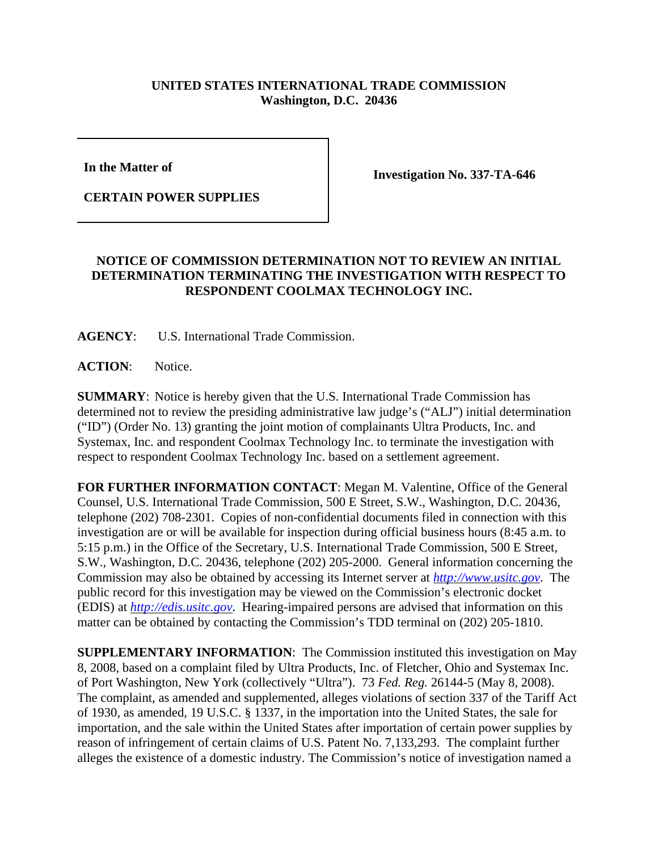## **UNITED STATES INTERNATIONAL TRADE COMMISSION Washington, D.C. 20436**

**In the Matter of** 

**CERTAIN POWER SUPPLIES**

**Investigation No. 337-TA-646**

## **NOTICE OF COMMISSION DETERMINATION NOT TO REVIEW AN INITIAL DETERMINATION TERMINATING THE INVESTIGATION WITH RESPECT TO RESPONDENT COOLMAX TECHNOLOGY INC.**

**AGENCY**: U.S. International Trade Commission.

**ACTION**: Notice.

**SUMMARY**: Notice is hereby given that the U.S. International Trade Commission has determined not to review the presiding administrative law judge's ("ALJ") initial determination ("ID") (Order No. 13) granting the joint motion of complainants Ultra Products, Inc. and Systemax, Inc. and respondent Coolmax Technology Inc. to terminate the investigation with respect to respondent Coolmax Technology Inc. based on a settlement agreement.

**FOR FURTHER INFORMATION CONTACT**: Megan M. Valentine, Office of the General Counsel, U.S. International Trade Commission, 500 E Street, S.W., Washington, D.C. 20436, telephone (202) 708-2301. Copies of non-confidential documents filed in connection with this investigation are or will be available for inspection during official business hours (8:45 a.m. to 5:15 p.m.) in the Office of the Secretary, U.S. International Trade Commission, 500 E Street, S.W., Washington, D.C. 20436, telephone (202) 205-2000. General information concerning the Commission may also be obtained by accessing its Internet server at *http://www.usitc.gov*. The public record for this investigation may be viewed on the Commission's electronic docket (EDIS) at *http://edis.usitc.gov*. Hearing-impaired persons are advised that information on this matter can be obtained by contacting the Commission's TDD terminal on (202) 205-1810.

**SUPPLEMENTARY INFORMATION**: The Commission instituted this investigation on May 8, 2008, based on a complaint filed by Ultra Products, Inc. of Fletcher, Ohio and Systemax Inc. of Port Washington, New York (collectively "Ultra"). 73 *Fed. Reg.* 26144-5 (May 8, 2008). The complaint, as amended and supplemented, alleges violations of section 337 of the Tariff Act of 1930, as amended, 19 U.S.C. § 1337, in the importation into the United States, the sale for importation, and the sale within the United States after importation of certain power supplies by reason of infringement of certain claims of U.S. Patent No. 7,133,293. The complaint further alleges the existence of a domestic industry. The Commission's notice of investigation named a